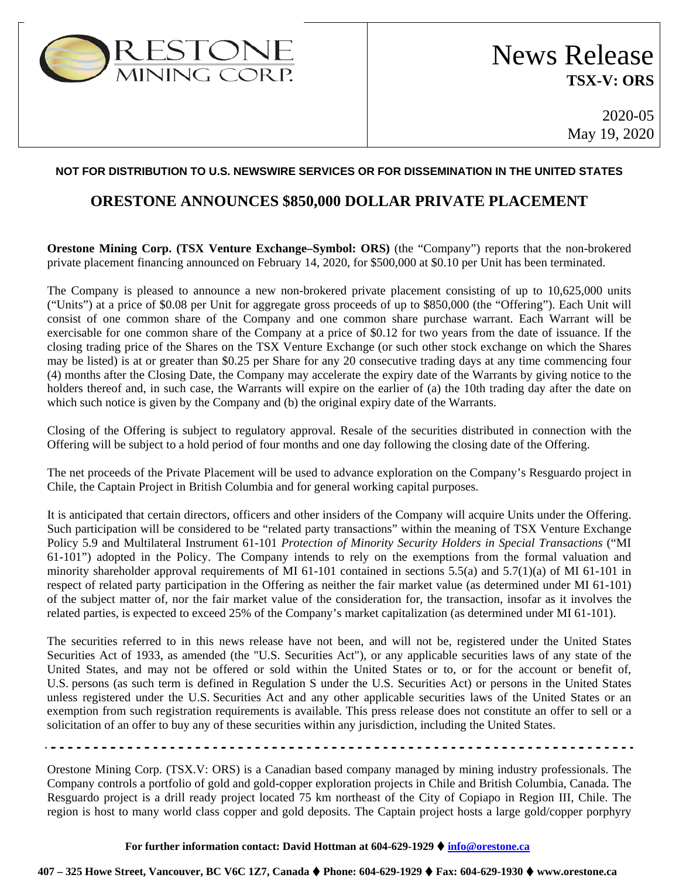

2020-05 May 19, 2020

### **NOT FOR DISTRIBUTION TO U.S. NEWSWIRE SERVICES OR FOR DISSEMINATION IN THE UNITED STATES**

## **ORESTONE ANNOUNCES \$850,000 DOLLAR PRIVATE PLACEMENT**

**Orestone Mining Corp. (TSX Venture Exchange–Symbol: ORS)** (the "Company") reports that the non-brokered private placement financing announced on February 14, 2020, for \$500,000 at \$0.10 per Unit has been terminated.

The Company is pleased to announce a new non-brokered private placement consisting of up to 10,625,000 units ("Units") at a price of \$0.08 per Unit for aggregate gross proceeds of up to \$850,000 (the "Offering"). Each Unit will consist of one common share of the Company and one common share purchase warrant. Each Warrant will be exercisable for one common share of the Company at a price of \$0.12 for two years from the date of issuance. If the closing trading price of the Shares on the TSX Venture Exchange (or such other stock exchange on which the Shares may be listed) is at or greater than \$0.25 per Share for any 20 consecutive trading days at any time commencing four (4) months after the Closing Date, the Company may accelerate the expiry date of the Warrants by giving notice to the holders thereof and, in such case, the Warrants will expire on the earlier of (a) the 10th trading day after the date on which such notice is given by the Company and (b) the original expiry date of the Warrants.

Closing of the Offering is subject to regulatory approval. Resale of the securities distributed in connection with the Offering will be subject to a hold period of four months and one day following the closing date of the Offering.

The net proceeds of the Private Placement will be used to advance exploration on the Company's Resguardo project in Chile, the Captain Project in British Columbia and for general working capital purposes.

It is anticipated that certain directors, officers and other insiders of the Company will acquire Units under the Offering. Such participation will be considered to be "related party transactions" within the meaning of TSX Venture Exchange Policy 5.9 and Multilateral Instrument 61-101 *Protection of Minority Security Holders in Special Transactions* ("MI 61-101") adopted in the Policy. The Company intends to rely on the exemptions from the formal valuation and minority shareholder approval requirements of MI 61-101 contained in sections 5.5(a) and 5.7(1)(a) of MI 61-101 in respect of related party participation in the Offering as neither the fair market value (as determined under MI 61-101) of the subject matter of, nor the fair market value of the consideration for, the transaction, insofar as it involves the related parties, is expected to exceed 25% of the Company's market capitalization (as determined under MI 61-101).

The securities referred to in this news release have not been, and will not be, registered under the United States Securities Act of 1933, as amended (the "U.S. Securities Act"), or any applicable securities laws of any state of the United States, and may not be offered or sold within the United States or to, or for the account or benefit of, U.S. persons (as such term is defined in Regulation S under the U.S. Securities Act) or persons in the United States unless registered under the U.S. Securities Act and any other applicable securities laws of the United States or an exemption from such registration requirements is available. This press release does not constitute an offer to sell or a solicitation of an offer to buy any of these securities within any jurisdiction, including the United States.

Orestone Mining Corp. (TSX.V: ORS) is a Canadian based company managed by mining industry professionals. The Company controls a portfolio of gold and gold-copper exploration projects in Chile and British Columbia, Canada. The Resguardo project is a drill ready project located 75 km northeast of the City of Copiapo in Region III, Chile. The region is host to many world class copper and gold deposits. The Captain project hosts a large gold/copper porphyry

### **For further information contact: David Hottman at 604-629-1929 [info@orestone.ca](mailto:info@orestone.ca)**